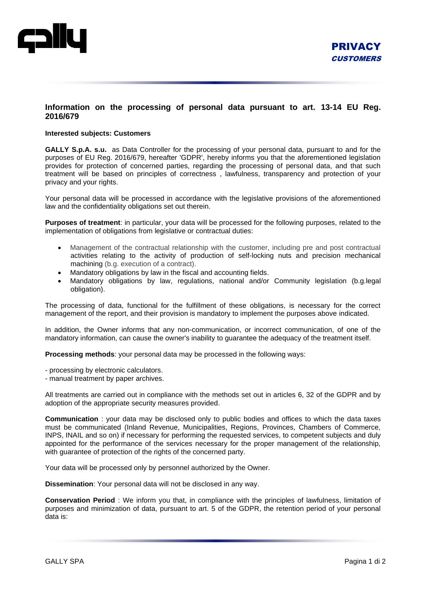

## **Information on the processing of personal data pursuant to art. 13-14 EU Reg. 2016/679**

## **Interested subjects: Customers**

**GALLY S.p.A. s.u.** as Data Controller for the processing of your personal data, pursuant to and for the purposes of EU Reg. 2016/679, hereafter 'GDPR', hereby informs you that the aforementioned legislation provides for protection of concerned parties, regarding the processing of personal data, and that such treatment will be based on principles of correctness , lawfulness, transparency and protection of your privacy and your rights.

Your personal data will be processed in accordance with the legislative provisions of the aforementioned law and the confidentiality obligations set out therein.

**Purposes of treatment**: in particular, your data will be processed for the following purposes, related to the implementation of obligations from legislative or contractual duties:

- Management of the contractual relationship with the customer, including pre and post contractual activities relating to the activity of production of self-locking nuts and precision mechanical machining (b.g. execution of a contract).
- Mandatory obligations by law in the fiscal and accounting fields.
- Mandatory obligations by law, regulations, national and/or Community legislation (b.g.legal obligation).

The processing of data, functional for the fulfillment of these obligations, is necessary for the correct management of the report, and their provision is mandatory to implement the purposes above indicated.

In addition, the Owner informs that any non-communication, or incorrect communication, of one of the mandatory information, can cause the owner's inability to guarantee the adequacy of the treatment itself.

**Processing methods**: your personal data may be processed in the following ways:

- processing by electronic calculators.

- manual treatment by paper archives.

All treatments are carried out in compliance with the methods set out in articles 6, 32 of the GDPR and by adoption of the appropriate security measures provided.

**Communication** : your data may be disclosed only to public bodies and offices to which the data taxes must be communicated (Inland Revenue, Municipalities, Regions, Provinces, Chambers of Commerce, INPS, INAIL and so on) if necessary for performing the requested services, to competent subjects and duly appointed for the performance of the services necessary for the proper management of the relationship, with guarantee of protection of the rights of the concerned party.

Your data will be processed only by personnel authorized by the Owner.

**Dissemination**: Your personal data will not be disclosed in any way.

**Conservation Period** : We inform you that, in compliance with the principles of lawfulness, limitation of purposes and minimization of data, pursuant to art. 5 of the GDPR, the retention period of your personal data is: